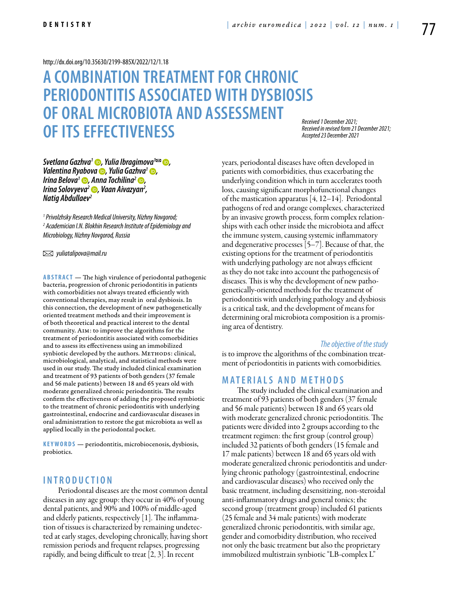#### <http://dx.doi.org/10.35630/2199-885X/2022/12/1.18>

# **A COMBINATION TREATMENT FOR CHRONIC PERIODONTITIS ASSOCIATED WITH DYSBIOSIS OF ORAL MICROBIOTA AND ASSESSMENT OF ITS EFFECTIVENESS**

*Received 1 December 2021; Received in revised form 21 December 2021; Accepted 23 December 2021*

*[Svetlana Gazhva1](https://orcid.org/0000-0002-6121-7145) , [Yulia Ibragimova](https://orcid.org/0000-0002-3105-9561)1 , [Valentina Ryabova](https://orcid.org/0000-0003-1329-1815) , [Yulia Gazhva1](https://orcid.org/0000-0002-6286-9516) , [Irina Belova](https://orcid.org/0000-0003-3402-1160)<sup>1</sup> b*, *Anna Tochilina<sup>2</sup> b*, *[Irina Solovyeva](https://orcid.org/0000-0002-3136-9500)2 , Vaan Aivazyan2 , Natig Abdullaev2*

*1 Privolzhsky Research Medical University, Nizhny Novgorod; 2 Academician I.N. Blokhin Research Institute of Epidemiology and Microbiology, Nizhny Novgorod, Russia*

 *yuliatalipova@mail.ru* 

**ABSTRACT** — The high virulence of periodontal pathogenic bacteria, progression of chronic periodontitis in patients with comorbidities not always treated efficiently with conventional therapies, may result in oral dysbiosis. In this connection, the development of new pathogenetically oriented treatment methods and their improvement is of both theoretical and practical interest to the dental community. Aim: to improve the algorithms for the treatment of periodontitis associated with comorbidities and to assess its effectiveness using an immobilized synbiotic developed by the authors. METHODS: clinical, microbiological, analytical, and statistical methods were used in our study. The study included clinical examination and treatment of 93 patients of both genders (37 female and 56 male patients) between 18 and 65 years old with moderate generalized chronic periodontitis. The results confirm the effectiveness of adding the proposed symbiotic to the treatment of chronic periodontitis with underlying gastrointestinal, endocrine and cardiovascular diseases in oral administration to restore the gut microbiota as well as applied locally in the periodontal pocket.

KEYWORDS — periodontitis, microbiocenosis, dysbiosis, probiotics.

## **I n t r o d u ct i o n**

Periodontal diseases are the most common dental diseases in any age group: they occur in 40% of young dental patients, and 90% and 100% of middle-aged and elderly patients, respectively [1]. The inflammation of tissues is characterized by remaining undetected at early stages, developing chronically, having short remission periods and frequent relapses, progressing rapidly, and being difficult to treat [2, 3]. In recent

years, periodontal diseases have often developed in patients with comorbidities, thus exacerbating the underlying condition which in turn accelerates tooth loss, causing significant morphofunctional changes of the mastication apparatus [4, 12–14]. Periodontal pathogens of red and orange complexes, characterized by an invasive growth process, form complex relationships with each other inside the microbiota and affect the immune system, causing systemic inflammatory and degenerative processes  $\lceil 5-7 \rceil$ . Because of that, the existing options for the treatment of periodontitis with underlying pathology are not always efficient as they do not take into account the pathogenesis of diseases. This is why the development of new pathogenetically-oriented methods for the treatment of periodontitis with underlying pathology and dysbiosis is a critical task, and the development of means for determining oral microbiota composition is a promising area of dentistry.

#### *The objective of the study*

is to improve the algorithms of the combination treatment of periodontitis in patients with comorbidities.

## **MATERIALS AND METHODS**

The study included the clinical examination and treatment of 93 patients of both genders (37 female and 56 male patients) between 18 and 65 years old with moderate generalized chronic periodontitis. The patients were divided into 2 groups according to the treatment regimen: the first group (control group) included 32 patients of both genders (15 female and 17 male patients) between 18 and 65 years old with moderate generalized chronic periodontitis and underlying chronic pathology (gastrointestinal, endocrine and cardiovascular diseases) who received only the basic treatment, including desensitizing, non-steroidal anti-inflammatory drugs and general tonics; the second group (treatment group) included 61 patients (25 female and 34 male patients) with moderate generalized chronic periodontitis, with similar age, gender and comorbidity distribution, who received not only the basic treatment but also the proprietary immobilized multistrain synbiotic "LB-complex L"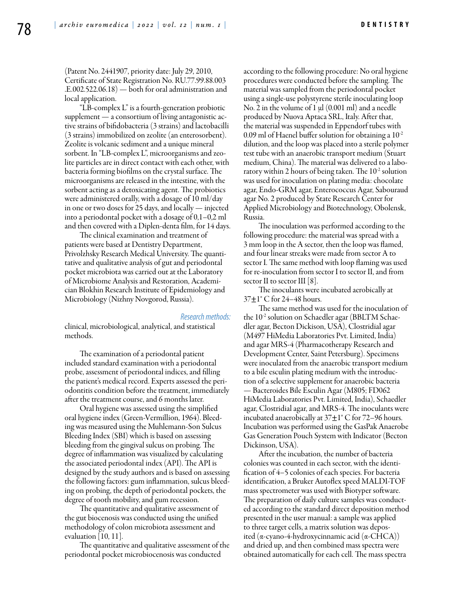**D e n t is t r y**

(Patent No. 2441907, priority date: July 29, 2010, Certificate of State Registration No. RU.77.99.88.003 .Е.002.522.06.18) — both for oral administration and local application.

"LB-complex L" is a fourth-generation probiotic supplement — a consortium of living antagonistic active strains of bifidobacteria (3 strains) and lactobacilli (3 strains) immobilized on zeolite (an enterosorbent). Zeolite is volcanic sediment and a unique mineral sorbent. In "LB-complex L", microorganisms and zeolite particles are in direct contact with each other, with bacteria forming biofilms on the crystal surface. The microorganisms are released in the intestine, with the sorbent acting as a detoxicating agent. The probiotics were administered orally, with a dosage of 10 ml/day in one or two doses for 25 days, and locally — injected into a periodontal pocket with a dosage of 0,1–0,2 ml and then covered with a Diplen-denta film, for 14 days.

The clinical examination and treatment of patients were based at Dentistry Department, Privolzhsky Research Medical University. The quantitative and qualitative analysis of gut and periodontal pocket microbiota was carried out at the Laboratory of Microbiome Analysis and Restoration, Academician Blokhin Research Institute of Epidemiology and Microbiology (Nizhny Novgorod, Russia).

#### *Research methods:*

clinical, microbiological, analytical, and statistical methods.

The examination of a periodontal patient included standard examination with a periodontal probe, assessment of periodontal indices, and filling the patient's medical record. Experts assessed the periodontitis condition before the treatment, immediately after the treatment course, and 6 months later.

Oral hygiene was assessed using the simplified orаl hygiеnе indеx (Grееn-Vеrmilliоn, 1964). Bleeding was measured using the Muhlemann-Son Sulcus Bleeding Index (SBI) which is based on assessing bleeding from the gingival sulcus on probing. The degree of inflammation was visualized by calculating the associated periodontal index (API). The API is designed by the study authors and is based on assessing the following factors: gum inflammation, sulcus bleeding on probing, the depth of periodontal pockets, the degree of tooth mobility, and gum recession.

The quantitative and qualitative assessment of the gut biocenosis was conducted using the unified methodology of colon microbiota assessment and evaluation  $[10, 11]$ .

The quantitative and qualitative assessment of the periodontal pocket microbiocenosis was conducted

according to the following procedure: No oral hygiene procedures were conducted before the sampling. The material was sampled from the periodontal pocket using a single-use polystyrene sterile inoculating loop No. 2 in the volume of  $1 \mu$ l (0.001 ml) and a needle produced by Nuova Aptaca SRL, Italy. After that, the material was suspended in Eppendorf tubes with 0.09 ml of Haenel buffer solution for obtaining a 10-2 dilution, and the loop was placed into a sterile polymer test tube with an anaerobic transport medium (Stuart medium, China). The material was delivered to a laboratory within 2 hours of being taken. The 10-2 solution was used for inoculation on plating media: chocolate agar, Endo-GRM agar, Enterococcus Agar, Sabouraud agar No. 2 produced by State Research Center for Applied Microbiology and Biotechnology, Obolensk, Russia.

The inoculation was performed according to the following procedure: the material was spread with a 3 mm loop in the A sector, then the loop was flamed, and four linear streaks were made from sector A to sector I. The same method with loop flaming was used for re-inoculation from sector I to sector II, and from sector II to sector III [8].

The inoculants were incubated aerobically at  $37\pm1^{\circ}$  C for 24–48 hours.

The same method was used for the inoculation of the 10<sup>-2</sup> solution on Schaedler agar (BBLTM Schaedler agar, Becton Dickison, USA), Сlostridial agar (M497 HiMedia Laboratories Pvt. Limited, India) and agar MRS-4 (Pharmacotherapy Research and Development Center, Saint Petersburg). Specimens were inoculated from the anaerobic transport medium to a bile esculin plating medium with the introduction of a selective supplement for anaerobic bacteria — Bacteroides Bile Esculin Agar (M805; FD062 HiMedia Laboratories Pvt. Limited, India), Schaedler agar, Clostridial agar, and MRS-4. The inoculants were incubated anaerobically at  $37\pm1^{\circ}$  C for 72–96 hours. Incubation was performed using the GasPak Anaerobe Gas Generation Pouch System with Indicator (Becton Dickinson, USA).

After the incubation, the number of bacteria colonies was counted in each sector, with the identification of 4–5 colonies of each species. For bacteria identification, a Bruker Autoflex speed MALDI-TOF mass spectrometer was used with Biotyper software. The preparation of daily culture samples was conducted according to the standard direct deposition method presented in the user manual: a sample was applied to three target cells, a matrix solution was deposited (α-cyano-4-hydroxycinnamic acid (α-CHCA)) and dried up, and then combined mass spectra were obtained automatically for each cell. The mass spectra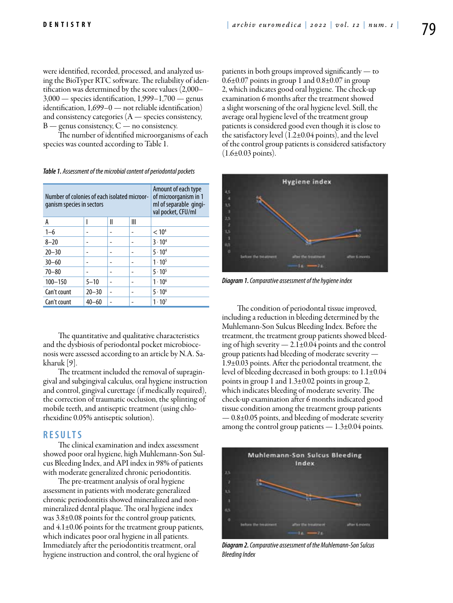were identified, recorded, processed, and analyzed using the BioTyper RTC software. The reliability of identification was determined by the score values (2,000– 3,000 — species identification, 1,999–1,700 — genus identification, 1,699–0 — not reliable identification) and consistency categories  $(A - \text{species consistency})$ ,  $B$  — genus consistency,  $C$  — no consistency.

The number of identified microorganisms of each species was counted according to Table 1.

| Number of colonies of each isolated microor-<br>ganism species in sectors |           |   |   | Amount of each type<br>of microorganism in 1<br>ml of separable gingi-<br>val pocket, CFU/ml |
|---------------------------------------------------------------------------|-----------|---|---|----------------------------------------------------------------------------------------------|
| A                                                                         |           | Ш | Ш |                                                                                              |
| $1 - 6$                                                                   |           |   |   | < 10 <sup>4</sup>                                                                            |
| $8 - 20$                                                                  |           |   |   | $3 \cdot 10^{4}$                                                                             |
| $20 - 30$                                                                 |           |   |   | $5 \cdot 10^{4}$                                                                             |
| $30 - 60$                                                                 |           |   |   | $1 \cdot 10^{5}$                                                                             |
| $70 - 80$                                                                 |           |   |   | $5 \cdot 10^{5}$                                                                             |
| $100 - 150$                                                               | $5 - 10$  |   |   | $1 \cdot 10^{6}$                                                                             |
| Can't count                                                               | $20 - 30$ |   |   | $5 \cdot 10^{6}$                                                                             |
| Can't count                                                               | $40 - 60$ |   |   | $1 \cdot 10^{7}$                                                                             |

*Table 1. Assessment of the microbial content of periodontal pockets*

The quantitative and qualitative characteristics and the dysbiosis of periodontal pocket microbiocenosis were assessed according to an article by N.A. Sakharuk [9].

The treatment included the removal of supragingival and subgingival calculus, oral hygiene instruction and control, gingival curettage (if medically required), the correction of traumatic occlusion, the splinting of mobile teeth, and antiseptic treatment (using chlorhexidine 0.05% antiseptic solution).

### **RESULTS**

The clinical examination and index assessment showed poor oral hygiene, high Muhlemann-Son Sulcus Bleeding Index, and API index in 98% of patients with moderate generalized chronic periodontitis.

The pre-treatment analysis of oral hygiene assessment in patients with moderate generalized chronic periodontitis showed mineralized and nonmineralized dental plaque. The oral hygiene index was 3.8±0.08 points for the control group patients, and  $4.1\pm0.06$  points for the treatment group patients, which indicates poor oral hygiene in all patients. Immediately after the periodontitis treatment, oral hygiene instruction and control, the oral hygiene of

patients in both groups improved significantly — to  $0.6\pm0.07$  points in group 1 and  $0.8\pm0.07$  in group 2, which indicates good oral hygiene. The check-up examination 6 months after the treatment showed a slight worsening of the oral hygiene level. Still, the average oral hygiene level of the treatment group patients is considered good even though it is close to the satisfactory level (1.2±0.04 points), and the level of the control group patients is considered satisfactory  $(1.6\pm0.03 \text{ points}).$ 



*Diagram 1. Comparative assessment of the hygiene index*

The condition of periodontal tissue improved, including a reduction in bleeding determined by the Muhlemann-Son Sulcus Bleeding Index. Before the treatment, the treatment group patients showed bleeding of high severity — 2.1±0.04 points and the control group patients had bleeding of moderate severity — 1.9±0.03 points. After the periodontal treatment, the level of bleeding decreased in both groups: to 1.1±0.04 points in group 1 and 1.3±0.02 points in group 2, which indicates bleeding of moderate severity. The check-up examination after 6 months indicated good tissue condition among the treatment group patients — 0.8±0.05 points, and bleeding of moderate severity among the control group patients  $- 1.3 \pm 0.04$  points.



*Diagram 2. Comparative assessment of the Muhlemann-Son Sulcus Bleeding Index*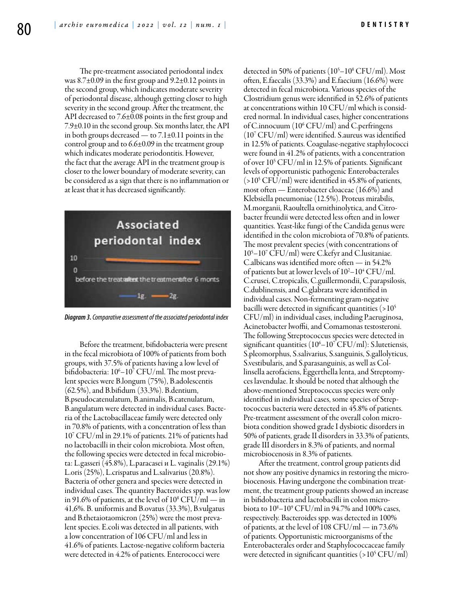The pre-treatment associated periodontal index was 8.7±0.09 in the first group and 9.2±0.12 points in the second group, which indicates moderate severity of periodontal disease, although getting closer to high severity in the second group. After the treatment, the API decreased to 7.6±0.08 points in the first group and 7.9±0.10 in the second group. Six months later, the API in both groups decreased — to  $7.1\pm0.11$  points in the control group and to 6.6±0.09 in the treatment group which indicates moderate periodontitis. However, the fact that the average API in the treatment group is closer to the lower boundary of moderate severity, can be considered as a sign that there is no inflammation or at least that it has decreased significantly.



*Diagram 3. Comparative assessment of the associated periodontal index*

Before the treatment, bifidobacteria were present in the fecal microbiota of 100% of patients from both groups, with 37.5% of patients having a low level of bifidobacteria: 10<sup>6</sup>–10<sup>7</sup> CFU/ml. The most prevalent species were B.longum (75%), B.adolescentis (62.5%), and B.bifidum (33.3%). B.dentium, B.pseudocatenulatum, B.animalis, B.catenulatum, B.angulatum were detected in individual cases. Bacteria of the Lactobacillaceae family were detected only in 70.8% of patients, with a concentration of less than 107 CFU/ml in 29.1% of patients. 21% of patients had no lactobacilli in their colon microbiota. Most often, the following species were detected in fecal microbiota: L.gasseri (45.8%), L.paracasei и L. vaginalis (29.1%) L.oris (25%), L.crispatus and L.salivarius (20.8%). Bacteria of other genera and species were detected in individual cases. The quantity Bacteroides spp. was low in 91.6% of patients, at the level of  $10^8 \text{ CFU/ml} - \text{in}$ 41,6%. B. uniformis and B.ovatus (33.3%), B.vulgatus and B.thetaiotaomicron (25%) were the most prevalent species. E.coli was detected in all patients, with a low concentration of 106 CFU/ml and less in 41.6% of patients. Lactose-negative coliform bacteria were detected in 4.2% of patients. Enterococci were

detected in 50% of patients (10<sup>5</sup>–10<sup>8</sup> CFU/ml). Most often, E.faecalis (33.3%) and Е.faecium (16.6%) were detected in fecal microbiota. Various species of the Clostridium genus were identified in 52.6% of patients at concentrations within 10 CFU/ml which is considered normal. In individual cases, higher concentrations of C.innocuum (10<sup>6</sup> CFU/ml) and C.perfringens (107 CFU/ml) were identified. S.aureus was identified in 12.5% of patients. Coagulase-negative staphylococci were found in 41.2% of patients, with a concentration of over 105 CFU/ml in 12.5% of patients. Significant levels of opportunistic pathogenic Enterobacterales  $(>10<sup>5</sup> CFU/ml)$  were identified in 45.8% of patients, most often — Enterobacter cloaceae (16.6%) and Klebsiella pneumoniae (12.5%). Proteus mirabilis, M.morganii, Raoultella ornithinolytica, and Citrobacter freundii were detected less often and in lower quantities. Yeast-like fungi of the Candida genus were identified in the colon microbiota of 70.8% of patients. The most prevalent species (with concentrations of 105 –107 CFU/ml) were C.kefyr and C.lusitaniae. C.albicans was identified more often — in 54.2% of patients but at lower levels of  $10^2 - 10^4$  CFU/ml. C.crusei, C.tropicalis, C.guillermondii, C.parapsilosis, C.dublinensis, and C.glabrata were identified in individual cases. Non-fermenting gram-negative bacilli were detected in significant quantities  $(>10<sup>5</sup>$ CFU/ml) in individual cases, including P.aeruginosa, Acinetobacter lwoffii, and Comamonas testosteroni. The following Streptococcus species were detected in significant quantities  $(10^6 - 10^7 \text{ CFU/ml})$ : S.lutetiensis, S.pleomorphus, S.salivarius, S.sanguinis, S.gallolyticus, S.vestibularis, and S.parasanguinis, as well as Collinsella aerofaciens, Eggerthella lenta, and Streptomyces lavendulae. It should be noted that although the above-mentioned Streptococcus species were only identified in individual cases, some species of Streptococcus bacteria were detected in 45.8% of patients. Pre-treatment assessment of the overall colon microbiota condition showed grade I dysbiotic disorders in 50% of patients, grade II disorders in 33.3% of patients, grade III disorders in 8.3% of patients, and normal microbiocenosis in 8.3% of patients.

After the treatment, control group patients did not show any positive dynamics in restoring the microbiocenosis. Having undergone the combination treatment, the treatment group patients showed an increase in bifidobacteria and lactobacilli in colon microbiota to  $10^8 - 10^9$  CFU/ml in 94.7% and 100% cases, respectively. Bacteroides spp. was detected in 100% of patients, at the level of 108 CFU/ml — in 73.6% of patients. Opportunistic microorganisms of the Enterobacterales order and Staphylococcaceae family were detected in significant quantities (>105 CFU/ml)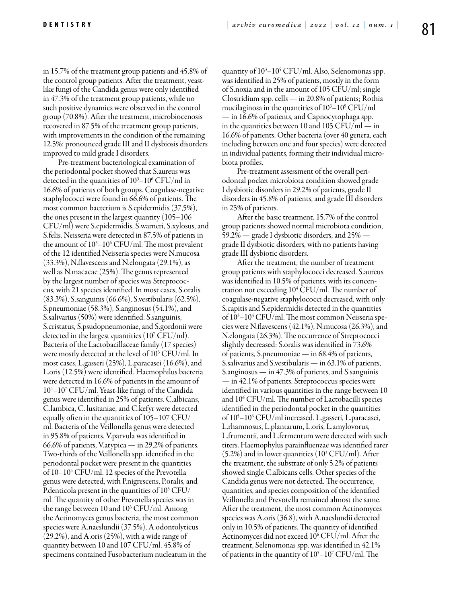in 15.7% of the treatment group patients and 45.8% of the control group patients. After the treatment, yeastlike fungi of the Candida genus were only identified in 47.3% of the treatment group patients, while no such positive dynamics were observed in the control group (70.8%). After the treatment, microbiocenosis recovered in 87.5% of the treatment group patients, with improvements in the condition of the remaining 12.5%: pronounced grade III and II dysbiosis disorders improved to mild grade I disorders.

Pre-treatment bacteriological examination of the periodontal pocket showed that S.aureus was detected in the quantities of  $10^3\text{--}10^6\,\text{CFU/ml}$  in 16.6% of patients of both groups. Coagulase-negative staphylococci were found in 66.6% of patients. The most common bacterium is S.epidermidis (37,5%), the ones present in the largest quantity (105–106 CFU/ml) were S.epidermidis, S.warneri, S.xylosus, and S.felis. Neisseria were detected in 87.5% of patients in the amount of  $10^3$ – $10^6$  CFU/ml. The most prevalent of the 12 identified Neisseria species were N.mucosa (33.3%), N.flavescens and N.elongata (29.1%), as well as N.macacae (25%). The genus represented by the largest number of species was Streptococcus, with 21 species identified. In most cases, S.oralis (83.3%), S.sanguinis (66.6%), S.vestibularis (62.5%), S.pneumoniae (58.3%), S.anginosus (54.1%), and S.salivarius (50%) were identified. S.sanguinis, S.cristatus, S.psudopneumoniae, and S.gordonii were detected in the largest quantities (107 CFU/ml). Bacteria of the Lactobacillaceae family (17 species) were mostly detected at the level of 103 CFU/ml. In most cases, L.gasseri (25%), L.paracasei (16.6%), and L.oris (12.5%) were identified. Haemophilus bacteria were detected in 16.6% of patients in the amount of 104 –107 CFU/ml. Yeast-like fungi of the Candida genus were identified in 25% of patients. C.albicans, C.lambica, C. lusitaniae, and C.kefyr were detected equally often in the quantities of 105–107 CFU/ ml. Bacteria of the Veillonella genus were detected in 95.8% of patients. V.parvula was identified in 66.6% of patients, V.atypica — in 29,2% of patients. Two-thirds of the Veillonella spp. identified in the periodontal pocket were present in the quantities of 10–104 CFU/ml. 12 species of the Prevotella genus were detected, with P.nigrescens, P.oralis, and P.denticola present in the quantities of  $10^5\,\mathrm{CFU}/$ ml. The quantity of other Prevotella species was in the range between 10 and 103 CFU/ml. Among the Actinomyces genus bacteria, the most common species were A.naeslundii (37.5%), A.odontolyticus (29.2%), and A.oris (25%), with a wide range of quantity between 10 and 107 CFU/ml. 45.8% of specimens contained Fusobacterium nucleatum in the

quantity of 103 –105 CFU/ml. Also, Selenomonas spp. was identified in 25% of patients, mostly in the form of S.noxia and in the amount of 105 CFU/ml; single Clostridium spp. cells — in 20.8% of patients; Rothia mucilaginosa in the quantities of  $10^3 - 10^5$  CFU/ml — in 16.6% of patients, and Capnocytophaga spp. in the quantities between 10 and 105 CFU/ml  $-$  in 16.6% of patients. Other bacteria (over 40 genera, each including between one and four species) were detected in individual patients, forming their individual microbiota profiles.

Pre-treatment assessment of the overall periodontal pocket microbiota condition showed grade I dysbiotic disorders in 29.2% of patients, grade II disorders in 45.8% of patients, and grade III disorders in 25% of patients.

After the basic treatment, 15.7% of the control group patients showed normal microbiota condition, 59.2% — grade I dysbiotic disorders, and 25% grade II dysbiotic disorders, with no patients having grade III dysbiotic disorders.

After the treatment, the number of treatment group patients with staphylococci decreased. S.aureus was identified in 10.5% of patients, with its concentration not exceeding 10<sup>4</sup> CFU/ml. The number of coagulase-negative staphylococci decreased, with only S.capitis and S.epidermidis detected in the quantities of  $10^3 - 10^4$  CFU/ml. The most common Neisseria species were N.flavescens (42.1%), N.mucosa (26.3%), and N.elongata (26.3%). The occurrence of Streptococci slightly decreased: S.oralis was identified in 73.6% of patients, S.pneumoniae — in 68.4% of patients, S.salivarius and S.vestibularis — in 63.1% of patients, S.anginosus — in 47.3% of patients, and S.sanguinis — in 42.1% of patients. Streptococcus species were identified in various quantities in the range between 10 and 106 CFU/ml. The number of Lactobacilli species identified in the periodontal pocket in the quantities of 105 –106 CFU/ml increased. L.gasseri, L.paracasei, L.rhamnosus, L.plantarum, L.oris, L.amylovorus, L.frumentii, and L.fermentum were detected with such titers. Haemophylus parainfluenzae was identified rarer  $(5.2%)$  and in lower quantities  $(10^3 \text{ CFU/ml})$ . After the treatment, the substrate of only 5.2% of patients showed single C.albicans cells. Other species of the Candida genus were not detected. The occurrence, quantities, and species composition of the identified Veillonella and Prevotella remained almost the same. After the treatment, the most common Actinomyces species was A.oris (36.8), with A.naeslundii detected only in 10.5% of patients. The quantity of identified Actinomyces did not exceed 106 CFU/ml. After the treatment, Selenomonas spp. was identified in 42.1% of patients in the quantity of 105 –107 CFU/ml. The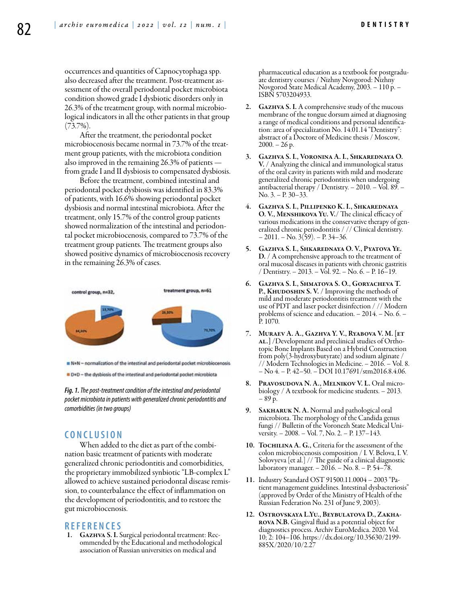occurrences and quantities of Capnocytophaga spp. also decreased after the treatment. Post-treatment assessment of the overall periodontal pocket microbiota condition showed grade I dysbiotic disorders only in 26.3% of the treatment group, with normal microbiological indicators in all the other patients in that group  $(73.7\%)$ .

After the treatment, the periodontal pocket microbiocenosis became normal in 73.7% of the treatment group patients, with the microbiota condition also improved in the remaining 26.3% of patients from grade I and II dysbiosis to compensated dysbiosis.

Before the treatment, combined intestinal and periodontal pocket dysbiosis was identified in 83.3% of patients, with 16.6% showing periodontal pocket dysbiosis and normal intestinal microbiota. After the treatment, only 15.7% of the control group patients showed normalization of the intestinal and periodontal pocket microbiocenosis, compared to 73.7% of the treatment group patients. The treatment groups also showed positive dynamics of microbiocenosis recovery in the remaining 26.3% of cases.



R+N - normalization of the intestinal and periodontal pocket microbiocenosis

D+D - the dysbiosis of the intestinal and periodontal pocket microbiotal

*Fig. 1. The post-treatment condition of the intestinal and periodontal pocket microbiota in patients with generalized chronic periodontitis and comorbidities (in two groups)*

# **C ON CLUSION**

When added to the diet as part of the combination basic treatment of patients with moderate generalized chronic periodontitis and comorbidities, the proprietary immobilized synbiotic "LB-complex L" allowed to achieve sustained periodontal disease remission, to counterbalance the effect of inflammation on the development of periodontitis, and to restore the gut microbiocenosis.

#### **REFEREN CES**

1. GAZHVA S. I. Surgical periodontal treatment: Recommended by the Educational and methodological association of Russian universities on medical and

pharmaceutical education as a textbook for postgraduate dentistry courses / Nizhny Novgorod: Nizhny Novgorod State Medical Academy, 2003. – 110 p. – ISBN 5703204933.

- 2. GAZHVA S. I. A comprehensive study of the mucous membrane of the tongue dorsum aimed at diagnosing a range of medical conditions and personal identification: area of specialization No. 14.01.14 "Dentistry": abstract of a Doctore of Medicine thesis / Moscow,  $2000. - 26$  p.
- 3. Gazhva S. I., Voronina A. I., Shkarednaya O. V. / Analyzing the clinical and immunological status of the oral cavity in patients with mild and moderate generalized chronic periodontitis when undergoing antibacterial therapy / Dentistry. – 2010. – Vol. 89. – No. 3. – P. 30–33.
- 4. Gazhva S. I., Pillipenko K. I., Shkarednaya O. V., Menshikova Yu. V./ The clinical efficacy of various medications in the conservative therapy of generalized chronic periodontitis / // Clinical dentistry.  $-2011. - No. 3(59) - P. 34-36.$
- 5. GAZHVA S. I., SHKAREDNAYA O. V., PYATOVA YE. D. / A comprehensive approach to the treatment of oral mucosal diseases in patients with chronic gastritis / Dentistry. – 2013. – Vol. 92. – No. 6. – P.  $16-19$ .
- 6. Gazhva S. I., Shmatova S. O., Goryacheva T. P., KHUDOSHIN S. V. / Improving the methods of mild and moderate periodontitis treatment with the use of PDT and laser pocket disinfection / // Modern problems of science and education. – 2014. – No. 6. – P. 1070.
- 7. Muraev A. A., Gazhva Y. V., Ryabova V. M. [et AL.] /Development and preclinical studies of Orthotopic Bone Implants Based on a Hybrid Construction from poly(3-hydroxybutyrate) and sodium alginate / // Modern Technologies in Medicine. – 2016. – Vol. 8. – No 4. – P. 42–50. – DOI 10.17691/stm2016.8.4.06.
- 8. Pravosudova N. A., Melnikov V. L. Oral microbiology / A textbook for medicine students. – 2013. – 89 p.
- 9. SAKHARUK N. A. Normal and pathological oral microbiota. The morphology of the Candida genus fungi // Bulletin of the Voronezh State Medical University. – 2008. – Vol. 7, No. 2. – P. 137–143.
- 10. TOCHILINA A. G., Criteria for the assessment of the colon microbiocenosis composition / I. V. Belova, I. V. Solovyeva [et al.] // The guide of a clinical diagnostic laboratory manager. – 2016. – No. 8. – P. 54–78.
- 11. Industry Standard OST 91500.11.0004 2003 "Pa- tient management guidelines. Intestinal dysbacteriosis" (approved by Order of the Ministry of Health of the Russian Federation No. 231 of June 9, 2003).
- 12. Ostrovskaya L.Yu., Beybulatova D., Zakharova N.B. Gingival fluid as a potential object for diagnostics process. Archiv EuroMedica. 2020. Vol. 10; 2: 104–106. https://dx.doi.org/10.35630/2199- 885X/2020/10/2.27